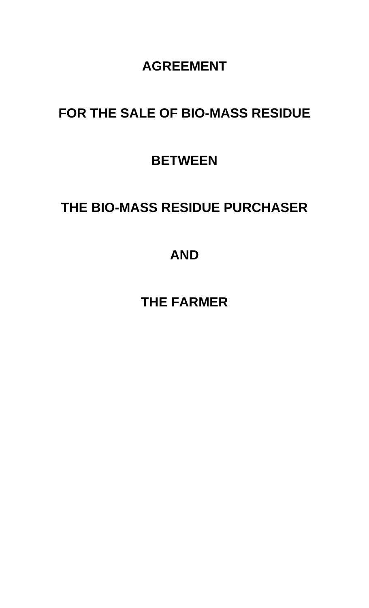### **AGREEMENT**

## **FOR THE SALE OF BIO-MASS RESIDUE**

## **BETWEEN**

# **THE BIO-MASS RESIDUE PURCHASER**

## **AND**

**THE FARMER**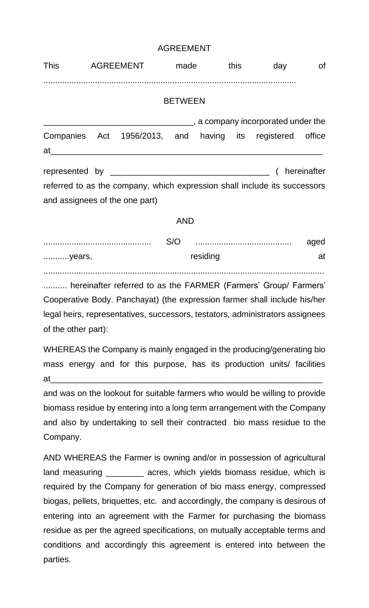#### AGREEMENT

|                                | This AGREEMENT made this |                                                                                                                 |                |          | day | of   |
|--------------------------------|--------------------------|-----------------------------------------------------------------------------------------------------------------|----------------|----------|-----|------|
|                                |                          |                                                                                                                 | <b>BETWEEN</b> |          |     |      |
|                                |                          | a company incorporated under the matter contains a set of the set of the set of the set of the set of the set o |                |          |     |      |
|                                |                          | Companies Act 1956/2013, and having its registered office                                                       |                |          |     |      |
|                                |                          |                                                                                                                 |                |          |     |      |
| and assignees of the one part) |                          | referred to as the company, which expression shall include its successors                                       |                |          |     |      |
|                                |                          |                                                                                                                 | <b>AND</b>     |          |     |      |
|                                |                          |                                                                                                                 |                |          |     | aged |
| years,                         |                          |                                                                                                                 |                | residing |     | at   |
|                                |                          | hereinafter referred to as the FARMER (Farmers' Group/ Farmers'                                                 |                |          |     |      |

Cooperative Body. Panchayat) (the expression farmer shall include his/her legal heirs, representatives, successors, testators, administrators assignees of the other part):

WHEREAS the Company is mainly engaged in the producing/generating bio mass energy and for this purpose, has its production units/ facilities at\_\_\_\_\_\_\_\_\_\_\_\_\_\_\_\_\_\_\_\_\_\_\_\_\_\_\_\_\_\_\_\_\_\_\_\_\_\_\_\_\_\_\_\_\_\_\_\_\_\_\_\_\_\_\_\_\_\_

and was on the lookout for suitable farmers who would be willing to provide biomass residue by entering into a long term arrangement with the Company and also by undertaking to sell their contracted bio mass residue to the Company.

AND WHEREAS the Farmer is owning and/or in possession of agricultural land measuring \_\_\_\_\_\_\_\_ acres, which yields biomass residue, which is required by the Company for generation of bio mass energy, compressed biogas, pellets, briquettes, etc. and accordingly, the company is desirous of entering into an agreement with the Farmer for purchasing the biomass residue as per the agreed specifications, on mutually acceptable terms and conditions and accordingly this agreement is entered into between the parties.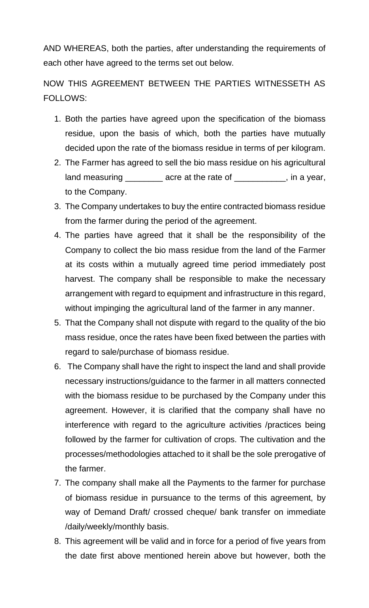AND WHEREAS, both the parties, after understanding the requirements of each other have agreed to the terms set out below.

NOW THIS AGREEMENT BETWEEN THE PARTIES WITNESSETH AS FOLLOWS:

- 1. Both the parties have agreed upon the specification of the biomass residue, upon the basis of which, both the parties have mutually decided upon the rate of the biomass residue in terms of per kilogram.
- 2. The Farmer has agreed to sell the bio mass residue on his agricultural land measuring \_\_\_\_\_\_\_\_\_ acre at the rate of \_\_\_\_\_\_\_\_\_\_, in a year, to the Company.
- 3. The Company undertakes to buy the entire contracted biomass residue from the farmer during the period of the agreement.
- 4. The parties have agreed that it shall be the responsibility of the Company to collect the bio mass residue from the land of the Farmer at its costs within a mutually agreed time period immediately post harvest. The company shall be responsible to make the necessary arrangement with regard to equipment and infrastructure in this regard, without impinging the agricultural land of the farmer in any manner.
- 5. That the Company shall not dispute with regard to the quality of the bio mass residue, once the rates have been fixed between the parties with regard to sale/purchase of biomass residue.
- 6. The Company shall have the right to inspect the land and shall provide necessary instructions/guidance to the farmer in all matters connected with the biomass residue to be purchased by the Company under this agreement. However, it is clarified that the company shall have no interference with regard to the agriculture activities /practices being followed by the farmer for cultivation of crops. The cultivation and the processes/methodologies attached to it shall be the sole prerogative of the farmer.
- 7. The company shall make all the Payments to the farmer for purchase of biomass residue in pursuance to the terms of this agreement, by way of Demand Draft/ crossed cheque/ bank transfer on immediate /daily/weekly/monthly basis.
- 8. This agreement will be valid and in force for a period of five years from the date first above mentioned herein above but however, both the